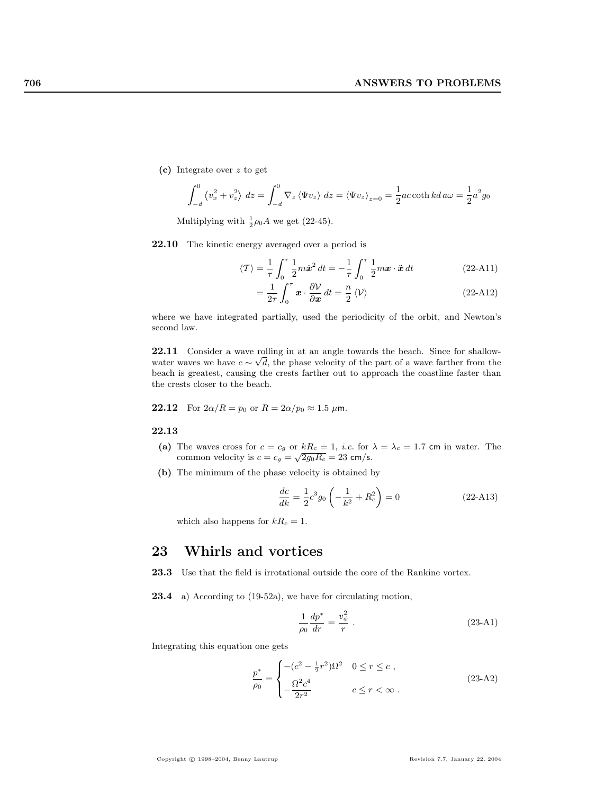(c) Integrate over z to get

$$
\int_{-d}^{0} \left\langle v_x^2 + v_z^2 \right\rangle dz = \int_{-d}^{0} \nabla_z \left\langle \Psi v_z \right\rangle dz = \left\langle \Psi v_z \right\rangle_{z=0} = \frac{1}{2}ac \coth kd \, a\omega = \frac{1}{2}a^2 g_0
$$

Multiplying with  $\frac{1}{2}\rho_0 A$  we get (22-45).

22.10 The kinetic energy averaged over a period is

$$
\langle \mathcal{T} \rangle = \frac{1}{\tau} \int_0^{\tau} \frac{1}{2} m \dot{x}^2 dt = -\frac{1}{\tau} \int_0^{\tau} \frac{1}{2} m x \cdot \ddot{x} dt
$$
 (22-A11)

$$
=\frac{1}{2\tau}\int_{0}^{\tau}\boldsymbol{x}\cdot\frac{\partial V}{\partial\boldsymbol{x}}\,dt=\frac{n}{2}\left\langle \mathcal{V}\right\rangle \tag{22-A12}
$$

where we have integrated partially, used the periodicity of the orbit, and Newton's second law.

**22.11** Consider a wave rolling in at an angle towards the beach. Since for shallowwater waves we have  $c \sim \sqrt{d}$ , the phase velocity of the part of a wave farther from the beach is greatest, causing the crests farther out to approach the coastline faster than the crests closer to the beach.

**22.12** For  $2\alpha/R = p_0$  or  $R = 2\alpha/p_0 \approx 1.5 \mu$ m.

## 22.13

- (a) The waves cross for  $c = c_g$  or  $kR_c = 1$ , *i.e.* for  $\lambda = \lambda_c = 1.7$  cm in water. The common velocity is  $c = c_g = \sqrt{2g_0R_c} = 23$  cm/s.
- (b) The minimum of the phase velocity is obtained by

$$
\frac{dc}{dk} = \frac{1}{2}c^3 g_0 \left( -\frac{1}{k^2} + R_c^2 \right) = 0
$$
\n(22-A13)

which also happens for  $kR_c = 1$ .

## 23 Whirls and vortices

23.3 Use that the field is irrotational outside the core of the Rankine vortex.

23.4 a) According to (19-52a), we have for circulating motion,

$$
\frac{1}{\rho_0} \frac{dp^*}{dr} = \frac{v_\phi^2}{r} \ . \tag{23-A1}
$$

Integrating this equation one gets

$$
\frac{p^*}{\rho_0} = \begin{cases}\n-(c^2 - \frac{1}{2}r^2)\Omega^2 & 0 \le r \le c, \\
-\frac{\Omega^2 c^4}{2r^2} & c \le r < \infty.\n\end{cases}
$$
\n(23-A2)